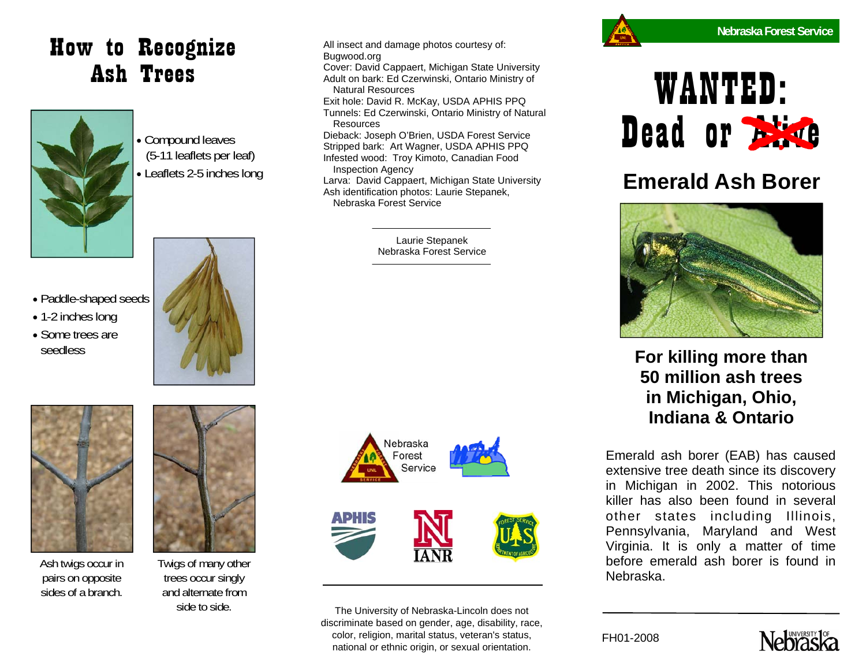## How to Recognize Ash Trees



• 1-2 inches long • Some trees are seedless

• Compound leaves (5-11 leaflets per leaf) • Leaflets 2-5 inches long





Ash twigs occur in pairs on opposite sides of a branch.



Twigs of many other trees occur singly and alternate from side to side.

All insect and damage photos courtesy of: Bugwood.org Cover: David Cappaert, Michigan State University Adult on bark: Ed Czerwinski, Ontario Ministry of Natural Resources Exit hole: David R. McKay, USDA APHIS PPQ Tunnels: Ed Czerwinski, Ontario Ministry of Natural Resources Dieback: Joseph O'Brien, USDA Forest Service Stripped bark: Art Wagner, USDA APHIS PPQ Infested wood: Troy Kimoto, Canadian Food Inspection Agency

Larva: David Cappaert, Michigan State University Ash identification photos: Laurie Stepanek, Nebraska Forest Service

> Laurie Stepanek Nebraska Forest Service



The University of Nebraska-Lincoln does not discriminate based on gender, age, disability, race, color, religion, marital status, veteran's status, national or ethnic origin, or sexual orientation.



# WANTED: Dead or Alive

#### **Emerald Ash Borer**



**For killing more than 50 million ash trees in Michigan, Ohio, Indiana & Ontario** 

Emerald ash borer (EAB) has caused extensive tree death since its discovery in Michigan in 2002. This notorious killer has also been found in several other states including Illinois, Pennsylvania, Maryland and West Virginia. It is only a matter of time before emerald ash borer is found in Nebraska.

FH01-2008